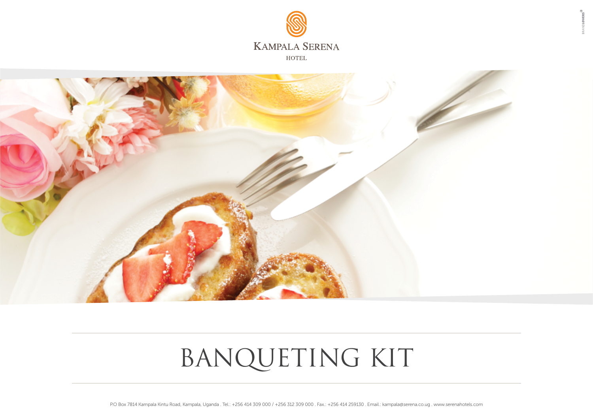



# BANQUETING KIT

P.O Box 7814 Kampala Kintu Road, Kampala, Uganda . Tel.: +256 414 309 000 / +256 312 309 000 . Fax.: +256 414 259130 . Email.: kampala@serena.co.ug . www.serenahotels.com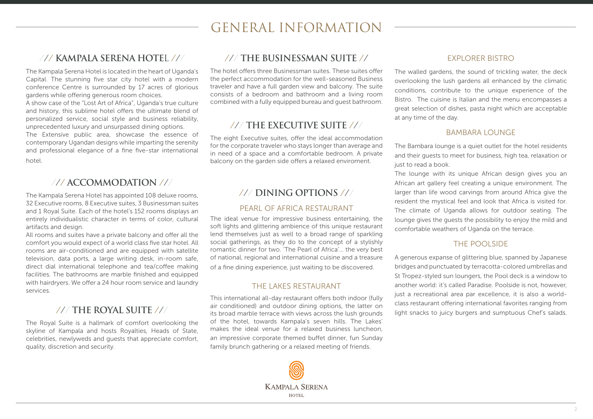# GENERAL INFORMATION

## /// **KAMPALA SERENA HOTE**L ///

The Kampala Serena Hotel is located in the heart of Uganda's Capital. The stunning five star city hotel with a modern conference Centre is surrounded by 17 acres of glorious gardens while offering generous room choices.

A show case of the "Lost Art of Africa", Uganda's true culture and history, this sublime hotel offers the ultimate blend of personalized service, social style and business reliability, unprecedented luxury and unsurpassed dining options. The Extensive public area, showcase the essence of contemporary Ugandan designs while imparting the serenity and professional elegance of a fine five-star international hotel.

## /// **ACCOMMODATION** ///

The Kampala Serena Hotel has appointed 108 deluxe rooms, 32 Executive rooms, 8 Executive suites, 3 Businessman suites and 1 Royal Suite. Each of the hotel's 152 rooms displays an entirely individualistic character in terms of color, cultural artifacts and design.

All rooms and suites have a private balcony and offer all the comfort you would expect of a world class five star hotel. All rooms are air-conditioned and are equipped with satellite television, data ports, a large writing desk, in-room safe, direct dial international telephone and tea/coffee making facilities. The bathrooms are marble finished and equipped with hairdryers. We offer a 24 hour room service and laundry services.

## /// **THE ROYAL SUITE** ///

The Royal Suite is a hallmark of comfort overlooking the skyline of Kampala and hosts Royalties, Heads of State, celebrities, newlyweds and guests that appreciate comfort, quality, discretion and security.

### /// **THE BUSINESSMAN SUITE** //

The hotel offers three Businessman suites. These suites offer the perfect accommodation for the well-seasoned Business traveler and have a full garden view and balcony. The suite consists of a bedroom and bathroom and a living room combined with a fully equipped bureau and guest bathroom.

## /// **THE EXECUTIVE SUITE** ///

The eight Executive suites, offer the ideal accommodation for the corporate traveler who stays longer than average and in need of a space and a comfortable bedroom. A private balcony on the garden side offers a relaxed enviroment.

## /// **DINING OPTIONS** ///

#### PEARL OF AFRICA RESTAURANT

The ideal venue for impressive business entertaining, the soft lights and glittering ambience of this unique restaurant lend themselves just as well to a broad range of sparkling social gatherings, as they do to the concept of a stylishly romantic dinner for two. 'The Pearl of Africa'… the very best of national, regional and international cuisine and a treasure of a fine dining experience, just waiting to be discovered.

#### THE LAKES RESTAURANT

This international all-day restaurant offers both indoor (fully air conditioned) and outdoor dining options, the latter on its broad marble terrace with views across the lush grounds of the hotel, towards Kampala's seven hills. The Lakes' makes the ideal venue for a relaxed business luncheon, an impressive corporate themed buffet dinner, fun Sunday family brunch gathering or a relaxed meeting of friends.



#### EXPLORER BISTRO

The walled gardens, the sound of trickling water, the deck overlooking the lush gardens all enhanced by the climatic conditions, contribute to the unique experience of the Bistro. The cuisine is Italian and the menu encompasses a great selection of dishes, pasta night which are acceptable at any time of the day.

#### BAMBARA LOUNGE

The Bambara lounge is a quiet outlet for the hotel residents and their guests to meet for business, high tea, relaxation or just to read a book.

The lounge with its unique African design gives you an African art gallery feel creating a unique environment. The larger than life wood carvings from around Africa give the resident the mystical feel and look that Africa is visited for. The climate of Uganda allows for outdoor seating. The lounge gives the guests the possibility to enjoy the mild and comfortable weathers of Uganda on the terrace.

#### THE POOLSIDE

A generous expanse of glittering blue, spanned by Japanese bridges and punctuated by terracotta-colored umbrellas and St Tropez-styled sun loungers, the Pool deck is a window to another world: it's called Paradise. Poolside is not, however, just a recreational area par excellence, it is also a worldclass restaurant offering international favorites ranging from light snacks to juicy burgers and sumptuous Chef's salads.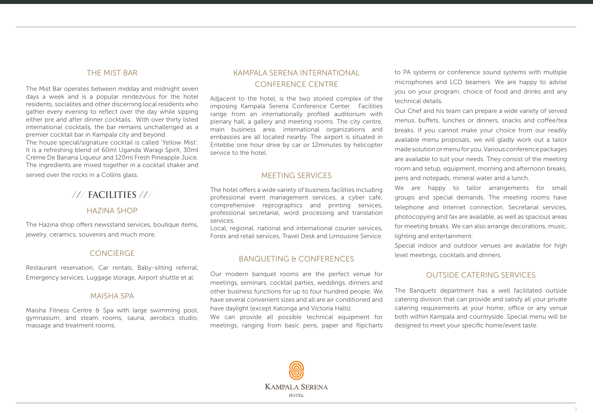#### THE MIST BAR

The Mist Bar operates between midday and midnight seven days a week and is a popular rendezvous for the hotel residents, socialites and other discerning local residents who gather every evening to reflect over the day while sipping either pre and after dinner cocktails. With over thirty listed international cocktails, the bar remains unchallenged as a premier cocktail bar in Kampala city and beyond.

The house special/signature cocktail is called 'Yellow Mist'. It is a refreshing blend of 60ml Uganda Waragi Spirit, 30ml Crème De Banana Liqueur and 120ml Fresh Pineapple Juice. The ingredients are mixed together in a cocktail shaker and

served over the rocks in a Collins glass.

## /// **FACILITIES** ///

#### HAZINA SHOP

The Hazina shop offers newsstand services, boutique items, jewelry, ceramics, souvenirs and much more.

#### CONCIERGE

Restaurant reservation, Car rentals, Baby-sitting referral, Emergency services, Luggage storage, Airport shuttle et al.

#### MAISHA SPA

Maisha Fitness Centre & Spa with large swimming pool, gymnasium, and steam rooms, sauna, aerobics studio, massage and treatment rooms.

#### KAMPALA SERENA INTERNATIONAL CONFERENCE CENTRE

Adjacent to the hotel, is the two storied complex of the imposing Kampala Serena Conference Center. Facilities range from an internationally profiled auditorium with plenary hall, a gallery and meeting rooms. The city centre, main business area, international organizations and embassies are all located nearby. The airport is situated in Entebbe one hour drive by car or 12minutes by helicopter service to the hotel.

#### MEETING SERVICES

The hotel offers a wide variety of business facilities including professional event management services, a cyber café, comprehensive reprographics and printing services, professional secretarial, word processing and translation services.

Local, regional, national and international courier services, Forex and retail services, Travel Desk and Limousine Service.

#### BANQUETING & CONFERENCES

Our modern banquet rooms are the perfect venue for meetings, seminars, cocktail parties, weddings, dinners and other business functions for up to four hundred people. We have several convenient sizes and all are air conditioned and have daylight (except Katonga and Victoria Halls).

We can provide all possible technical equipment for meetings, ranging from basic pens, paper and flipcharts

to PA systems or conference sound systems with multiple microphones and LCD beamers. We are happy to advise you on your program, choice of food and drinks and any technical details.

Our Chef and his team can prepare a wide variety of served menus, buffets, lunches or dinners, snacks and coffee/tea breaks. If you cannot make your choice from our readily available menu proposals, we will gladly work out a tailor made solution or menu for you. Various conference packages are available to suit your needs. They consist of the meeting room and setup, equipment, morning and afternoon breaks, pens and notepads, mineral water and a lunch.

We are happy to tailor arrangements for small groups and special demands. The meeting rooms have telephone and Internet connection. Secretarial services, photocopying and fax are available, as well as spacious areas for meeting breaks. We can also arrange decorations, music, lighting and entertainment.

Special indoor and outdoor venues are available for high level meetings, cocktails and dinners.

#### OUTSIDE CATERING SERVICES

The Banquets department has a well facilitated outside catering division that can provide and satisfy all your private catering requirements at your home, office or any venue both within Kampala and countryside. Special menu will be designed to meet your specific home/event taste.